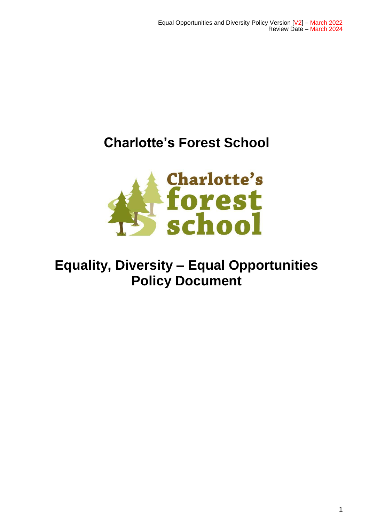# **Charlotte's Forest School**



# **Equality, Diversity – Equal Opportunities Policy Document**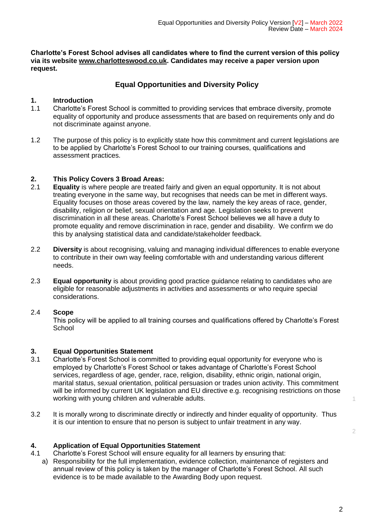**Charlotte's Forest School advises all candidates where to find the current version of this policy via its website [www.charlotteswood.co.uk.](http://www.charlotteswood.co.uk/) Candidates may receive a paper version upon request.**

## **Equal Opportunities and Diversity Policy**

#### **1. Introduction**

- 1.1 Charlotte's Forest School is committed to providing services that embrace diversity, promote equality of opportunity and produce assessments that are based on requirements only and do not discriminate against anyone.
- 1.2 The purpose of this policy is to explicitly state how this commitment and current legislations are to be applied by Charlotte's Forest School to our training courses, qualifications and assessment practices.

#### **2. This Policy Covers 3 Broad Areas:**

- 2.1 **Equality** is where people are treated fairly and given an equal opportunity. It is not about treating everyone in the same way, but recognises that needs can be met in different ways. Equality focuses on those areas covered by the law, namely the key areas of race, gender, disability, religion or belief, sexual orientation and age. Legislation seeks to prevent discrimination in all these areas. Charlotte's Forest School believes we all have a duty to promote equality and remove discrimination in race, gender and disability. We confirm we do this by analysing statistical data and candidate/stakeholder feedback.
- 2.2 **Diversity** is about recognising, valuing and managing individual differences to enable everyone to contribute in their own way feeling comfortable with and understanding various different needs.
- 2.3 **Equal opportunity** is about providing good practice guidance relating to candidates who are eligible for reasonable adjustments in activities and assessments or who require special considerations.

#### 2.4 **Scope**

This policy will be applied to all training courses and qualifications offered by Charlotte's Forest **School** 

### **3. Equal Opportunities Statement**

- 3.1 Charlotte's Forest School is committed to providing equal opportunity for everyone who is employed by Charlotte's Forest School or takes advantage of Charlotte's Forest School services, regardless of age, gender, race, religion, disability, ethnic origin, national origin, marital status, sexual orientation, political persuasion or trades union activity. This commitment will be informed by current UK legislation and EU directive e.g. recognising restrictions on those working with young children and vulnerable adults. 1
- 3.2 It is morally wrong to discriminate directly or indirectly and hinder equality of opportunity. Thus it is our intention to ensure that no person is subject to unfair treatment in any way.

### **4. Application of Equal Opportunities Statement**

- 4.1 Charlotte's Forest School will ensure equality for all learners by ensuring that:
	- a) Responsibility for the full implementation, evidence collection, maintenance of registers and annual review of this policy is taken by the manager of Charlotte's Forest School. All such evidence is to be made available to the Awarding Body upon request.

 $\overline{2}$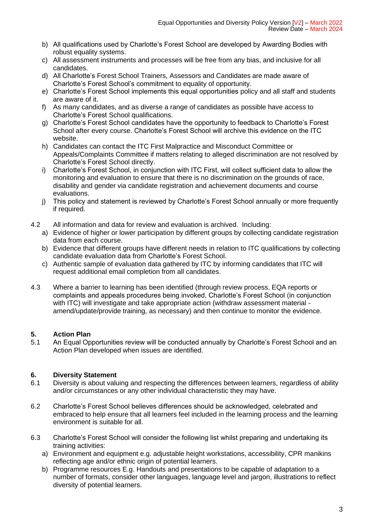- b) All qualifications used by Charlotte's Forest School are developed by Awarding Bodies with robust equality systems.
- c) All assessment instruments and processes will be free from any bias, and inclusive for all candidates.
- d) All Charlotte's Forest School Trainers, Assessors and Candidates are made aware of Charlotte's Forest School's commitment to equality of opportunity.
- e) Charlotte's Forest School implements this equal opportunities policy and all staff and students are aware of it.
- f) As many candidates, and as diverse a range of candidates as possible have access to Charlotte's Forest School qualifications.
- g) Charlotte's Forest School candidates have the opportunity to feedback to Charlotte's Forest School after every course. Charlotte's Forest School will archive this evidence on the ITC website.
- h) Candidates can contact the ITC First Malpractice and Misconduct Committee or Appeals/Complaints Committee if matters relating to alleged discrimination are not resolved by Charlotte's Forest School directly.
- i) Charlotte's Forest School, in conjunction with ITC First, will collect sufficient data to allow the monitoring and evaluation to ensure that there is no discrimination on the grounds of race, disability and gender via candidate registration and achievement documents and course evaluations.
- j) This policy and statement is reviewed by Charlotte's Forest School annually or more frequently if required.
- 4.2 All information and data for review and evaluation is archived. Including:
	- a) Evidence of higher or lower participation by different groups by collecting candidate registration data from each course.
	- b) Evidence that different groups have different needs in relation to ITC qualifications by collecting candidate evaluation data from Charlotte's Forest School.
	- c) Authentic sample of evaluation data gathered by ITC by informing candidates that ITC will request additional email completion from all candidates.
- 4.3 Where a barrier to learning has been identified (through review process, EQA reports or complaints and appeals procedures being invoked, Charlotte's Forest School (in conjunction with ITC) will investigate and take appropriate action (withdraw assessment material amend/update/provide training, as necessary) and then continue to monitor the evidence.

# **5. Action Plan**

5.1 An Equal Opportunities review will be conducted annually by Charlotte's Forest School and an Action Plan developed when issues are identified.

# **6. Diversity Statement**

- 6.1 Diversity is about valuing and respecting the differences between learners, regardless of ability and/or circumstances or any other individual characteristic they may have.
- 6.2 Charlotte's Forest School believes differences should be acknowledged, celebrated and embraced to help ensure that all learners feel included in the learning process and the learning environment is suitable for all.
- 6.3 Charlotte's Forest School will consider the following list whilst preparing and undertaking its training activities:
	- a) Environment and equipment e.g. adjustable height workstations, accessibility, CPR manikins reflecting age and/or ethnic origin of potential learners.
	- b) Programme resources E.g. Handouts and presentations to be capable of adaptation to a number of formats, consider other languages, language level and jargon, illustrations to reflect diversity of potential learners.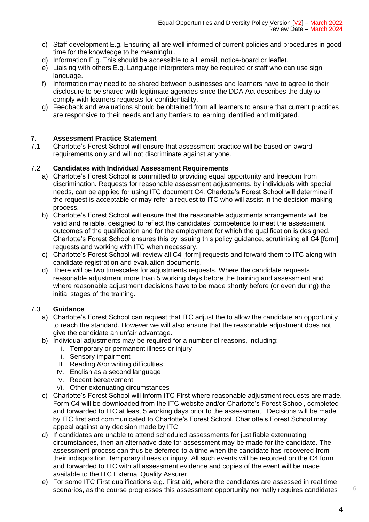- c) Staff development E.g. Ensuring all are well informed of current policies and procedures in good time for the knowledge to be meaningful.
- d) Information E.g. This should be accessible to all; email, notice-board or leaflet.
- e) Liaising with others E.g. Language interpreters may be required or staff who can use sign language.
- f) Information may need to be shared between businesses and learners have to agree to their disclosure to be shared with legitimate agencies since the DDA Act describes the duty to comply with learners requests for confidentiality.
- g) Feedback and evaluations should be obtained from all learners to ensure that current practices are responsive to their needs and any barriers to learning identified and mitigated.

### **7. Assessment Practice Statement**

7.1 Charlotte's Forest School will ensure that assessment practice will be based on award requirements only and will not discriminate against anyone.

#### 7.2 **Candidates with Individual Assessment Requirements**

- a) Charlotte's Forest School is committed to providing equal opportunity and freedom from discrimination. Requests for reasonable assessment adjustments, by individuals with special needs, can be applied for using ITC document C4. Charlotte's Forest School will determine if the request is acceptable or may refer a request to ITC who will assist in the decision making process.
- b) Charlotte's Forest School will ensure that the reasonable adjustments arrangements will be valid and reliable, designed to reflect the candidates' competence to meet the assessment outcomes of the qualification and for the employment for which the qualification is designed. Charlotte's Forest School ensures this by issuing this policy guidance, scrutinising all C4 [form] requests and working with ITC when necessary.
- c) Charlotte's Forest School will review all C4 [form] requests and forward them to ITC along with candidate registration and evaluation documents.
- d) There will be two timescales for adjustments requests. Where the candidate requests reasonable adjustment more than 5 working days before the training and assessment and where reasonable adjustment decisions have to be made shortly before (or even during) the initial stages of the training.

### 7.3 **Guidance**

- a) Charlotte's Forest School can request that ITC adjust the to allow the candidate an opportunity to reach the standard. However we will also ensure that the reasonable adjustment does not give the candidate an unfair advantage.
- b) Individual adjustments may be required for a number of reasons, including:
	- I. Temporary or permanent illness or injury
	- II. Sensory impairment
	- III. Reading &/or writing difficulties
	- IV. English as a second language
	- V. Recent bereavement
	- VI. Other extenuating circumstances
- c) Charlotte's Forest School will inform ITC First where reasonable adjustment requests are made. Form C4 will be downloaded from the ITC website and/or Charlotte's Forest School, completed and forwarded to ITC at least 5 working days prior to the assessment. Decisions will be made by ITC first and communicated to Charlotte's Forest School. Charlotte's Forest School may appeal against any decision made by ITC.
- d) If candidates are unable to attend scheduled assessments for justifiable extenuating circumstances, then an alternative date for assessment may be made for the candidate. The assessment process can thus be deferred to a time when the candidate has recovered from their indisposition, temporary illness or injury. All such events will be recorded on the C4 form and forwarded to ITC with all assessment evidence and copies of the event will be made available to the ITC External Quality Assurer.
- e) For some ITC First qualifications e.g. First aid, where the candidates are assessed in real time scenarios, as the course progresses this assessment opportunity normally requires candidates <sup>6</sup>

4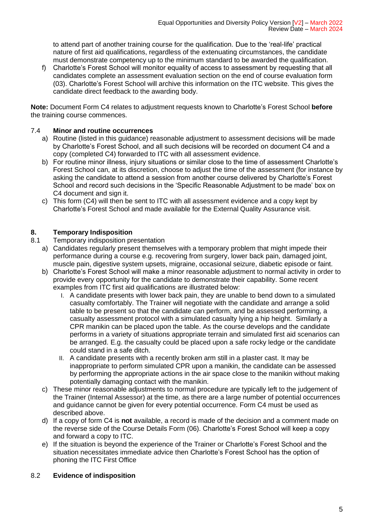to attend part of another training course for the qualification. Due to the 'real-life' practical nature of first aid qualifications, regardless of the extenuating circumstances, the candidate must demonstrate competency up to the minimum standard to be awarded the qualification.

f) Charlotte's Forest School will monitor equality of access to assessment by requesting that all candidates complete an assessment evaluation section on the end of course evaluation form (03). Charlotte's Forest School will archive this information on the ITC website. This gives the candidate direct feedback to the awarding body.

**Note:** Document Form C4 relates to adjustment requests known to Charlotte's Forest School **before** the training course commences.

## 7.4 **Minor and routine occurrences**

- a) Routine (listed in this guidance) reasonable adjustment to assessment decisions will be made by Charlotte's Forest School, and all such decisions will be recorded on document C4 and a copy (completed C4) forwarded to ITC with all assessment evidence.
- b) For routine minor illness, injury situations or similar close to the time of assessment Charlotte's Forest School can, at its discretion, choose to adjust the time of the assessment (for instance by asking the candidate to attend a session from another course delivered by Charlotte's Forest School and record such decisions in the 'Specific Reasonable Adjustment to be made' box on C4 document and sign it.
- c) This form (C4) will then be sent to ITC with all assessment evidence and a copy kept by Charlotte's Forest School and made available for the External Quality Assurance visit.

# **8. Temporary Indisposition**

- 8.1 Temporary indisposition presentation
	- a) Candidates regularly present themselves with a temporary problem that might impede their performance during a course e.g. recovering from surgery, lower back pain, damaged joint, muscle pain, digestive system upsets, migraine, occasional seizure, diabetic episode or faint.
	- b) Charlotte's Forest School will make a minor reasonable adjustment to normal activity in order to provide every opportunity for the candidate to demonstrate their capability. Some recent examples from ITC first aid qualifications are illustrated below:
		- I. A candidate presents with lower back pain, they are unable to bend down to a simulated casualty comfortably. The Trainer will negotiate with the candidate and arrange a solid table to be present so that the candidate can perform, and be assessed performing, a casualty assessment protocol with a simulated casualty lying a hip height. Similarly a CPR manikin can be placed upon the table. As the course develops and the candidate performs in a variety of situations appropriate terrain and simulated first aid scenarios can be arranged. E.g. the casualty could be placed upon a safe rocky ledge or the candidate could stand in a safe ditch.
		- II. A candidate presents with a recently broken arm still in a plaster cast. It may be inappropriate to perform simulated CPR upon a manikin, the candidate can be assessed by performing the appropriate actions in the air space close to the manikin without making potentially damaging contact with the manikin.
	- c) These minor reasonable adjustments to normal procedure are typically left to the judgement of the Trainer (Internal Assessor) at the time, as there are a large number of potential occurrences and guidance cannot be given for every potential occurrence. Form C4 must be used as described above.
	- d) If a copy of form C4 is **not** available, a record is made of the decision and a comment made on the reverse side of the Course Details Form (06). Charlotte's Forest School will keep a copy and forward a copy to ITC.
	- e) If the situation is beyond the experience of the Trainer or Charlotte's Forest School and the situation necessitates immediate advice then Charlotte's Forest School has the option of phoning the ITC First Office

# 8.2 **Evidence of indisposition**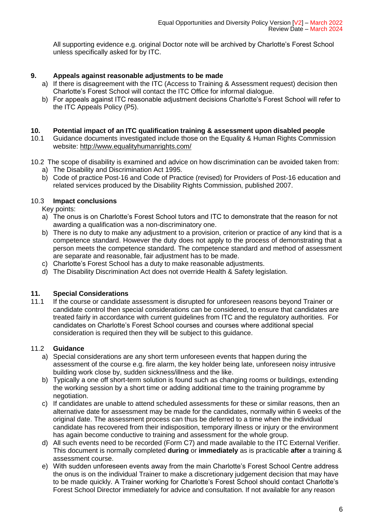All supporting evidence e.g. original Doctor note will be archived by Charlotte's Forest School unless specifically asked for by ITC.

## **9. Appeals against reasonable adjustments to be made**

- a) If there is disagreement with the ITC (Access to Training & Assessment request) decision then Charlotte's Forest School will contact the ITC Office for informal dialogue.
- b) For appeals against ITC reasonable adjustment decisions Charlotte's Forest School will refer to the ITC Appeals Policy (P5).

#### **10. Potential impact of an ITC qualification training & assessment upon disabled people**

- 10.1 Guidance documents investigated include those on the Equality & Human Rights Commission website:<http://www.equalityhumanrights.com/>
- 10.2 The scope of disability is examined and advice on how discrimination can be avoided taken from:
	- a) The Disability and Discrimination Act 1995.
	- b) Code of practice Post-16 and Code of Practice (revised) for Providers of Post-16 education and related services produced by the Disability Rights Commission, published 2007.

### 10.3 **Impact conclusions**

Key points:

- a) The onus is on Charlotte's Forest School tutors and ITC to demonstrate that the reason for not awarding a qualification was a non-discriminatory one.
- b) There is no duty to make any adjustment to a provision, criterion or practice of any kind that is a competence standard. However the duty does not apply to the process of demonstrating that a person meets the competence standard. The competence standard and method of assessment are separate and reasonable, fair adjustment has to be made.
- c) Charlotte's Forest School has a duty to make reasonable adjustments.
- d) The Disability Discrimination Act does not override Health & Safety legislation.

# **11. Special Considerations**

11.1 If the course or candidate assessment is disrupted for unforeseen reasons beyond Trainer or candidate control then special considerations can be considered, to ensure that candidates are treated fairly in accordance with current guidelines from ITC and the regulatory authorities. For candidates on Charlotte's Forest School courses and courses where additional special consideration is required then they will be subject to this guidance.

### 11.2 **Guidance**

- a) Special considerations are any short term unforeseen events that happen during the assessment of the course e.g. fire alarm, the key holder being late, unforeseen noisy intrusive building work close by, sudden sickness/illness and the like.
- b) Typically a one off short-term solution is found such as changing rooms or buildings, extending the working session by a short time or adding additional time to the training programme by negotiation.
- c) If candidates are unable to attend scheduled assessments for these or similar reasons, then an alternative date for assessment may be made for the candidates, normally within 6 weeks of the original date. The assessment process can thus be deferred to a time when the individual candidate has recovered from their indisposition, temporary illness or injury or the environment has again become conductive to training and assessment for the whole group.
- d) All such events need to be recorded (Form C7) and made available to the ITC External Verifier. This document is normally completed **during** or **immediately** as is practicable **after** a training & assessment course.
- e) With sudden unforeseen events away from the main Charlotte's Forest School Centre address the onus is on the individual Trainer to make a discretionary judgement decision that may have to be made quickly. A Trainer working for Charlotte's Forest School should contact Charlotte's Forest School Director immediately for advice and consultation. If not available for any reason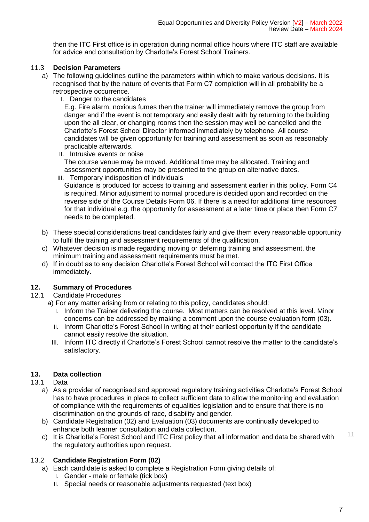then the ITC First office is in operation during normal office hours where ITC staff are available for advice and consultation by Charlotte's Forest School Trainers.

## 11.3 **Decision Parameters**

- a) The following guidelines outline the parameters within which to make various decisions. It is recognised that by the nature of events that Form C7 completion will in all probability be a retrospective occurrence.
	- I. Danger to the candidates

E.g. Fire alarm, noxious fumes then the trainer will immediately remove the group from danger and if the event is not temporary and easily dealt with by returning to the building upon the all clear, or changing rooms then the session may well be cancelled and the Charlotte's Forest School Director informed immediately by telephone. All course candidates will be given opportunity for training and assessment as soon as reasonably practicable afterwards.

II. Intrusive events or noise

The course venue may be moved. Additional time may be allocated. Training and assessment opportunities may be presented to the group on alternative dates.

III. Temporary indisposition of individuals Guidance is produced for access to training and assessment earlier in this policy. Form C4 is required. Minor adjustment to normal procedure is decided upon and recorded on the reverse side of the Course Details Form 06. If there is a need for additional time resources for that individual e.g. the opportunity for assessment at a later time or place then Form C7 needs to be completed.

- b) These special considerations treat candidates fairly and give them every reasonable opportunity to fulfil the training and assessment requirements of the qualification.
- c) Whatever decision is made regarding moving or deferring training and assessment, the minimum training and assessment requirements must be met.
- d) If in doubt as to any decision Charlotte's Forest School will contact the ITC First Office immediately.

# **12. Summary of Procedures**

- 12.1 Candidate Procedures
	- a) For any matter arising from or relating to this policy, candidates should:
		- I. Inform the Trainer delivering the course. Most matters can be resolved at this level. Minor concerns can be addressed by making a comment upon the course evaluation form (03).
		- II. Inform Charlotte's Forest School in writing at their earliest opportunity if the candidate cannot easily resolve the situation.
		- III. Inform ITC directly if Charlotte's Forest School cannot resolve the matter to the candidate's satisfactory.

# **13. Data collection**

### 13.1 Data

- a) As a provider of recognised and approved regulatory training activities Charlotte's Forest School has to have procedures in place to collect sufficient data to allow the monitoring and evaluation of compliance with the requirements of equalities legislation and to ensure that there is no discrimination on the grounds of race, disability and gender.
- b) Candidate Registration (02) and Evaluation (03) documents are continually developed to enhance both learner consultation and data collection.
- c) It is Charlotte's Forest School and ITC First policy that all information and data be shared with  $11$ the regulatory authorities upon request.

# 13.2 **Candidate Registration Form (02)**

- a) Each candidate is asked to complete a Registration Form giving details of:
	- I. Gender male or female (tick box)
	- II. Special needs or reasonable adjustments requested (text box)